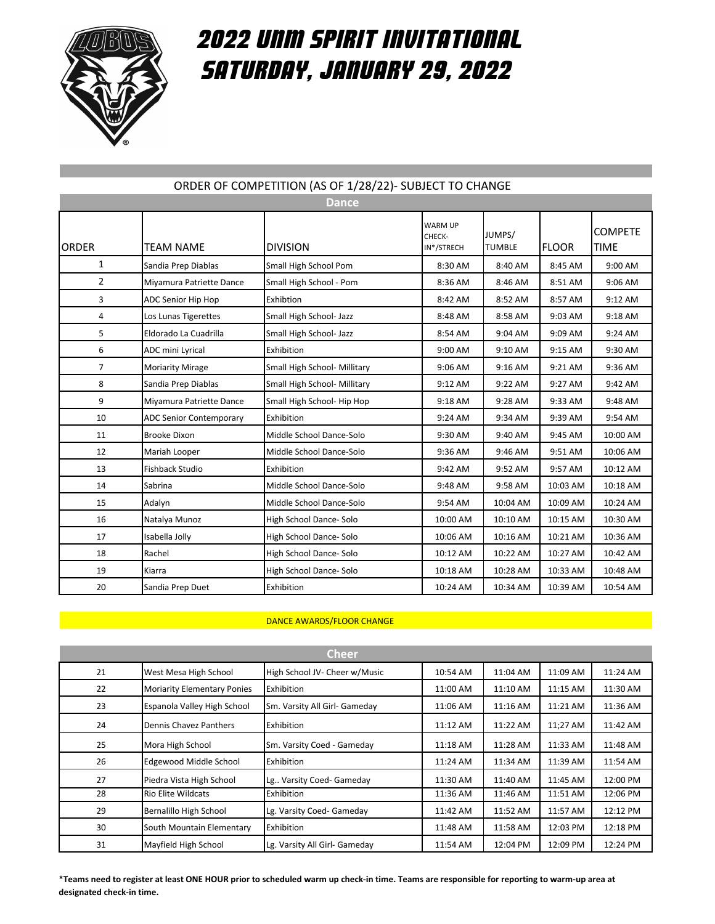

## 2022 UNM SPIRIT INVITATIONAL SATURDAY, January 29, 2022

| ORDER OF COMPETITION (AS OF 1/28/22)- SUBJECT TO CHANGE |                                |                              |                                        |                         |              |                               |  |  |
|---------------------------------------------------------|--------------------------------|------------------------------|----------------------------------------|-------------------------|--------------|-------------------------------|--|--|
| <b>Dance</b>                                            |                                |                              |                                        |                         |              |                               |  |  |
| <b>ORDER</b>                                            | <b>TEAM NAME</b>               | <b>DIVISION</b>              | <b>WARM UP</b><br>CHECK-<br>IN*/STRECH | JUMPS/<br><b>TUMBLE</b> | <b>FLOOR</b> | <b>COMPETE</b><br><b>TIME</b> |  |  |
| $\mathbf{1}$                                            | Sandia Prep Diablas            | Small High School Pom        | 8:30 AM                                | 8:40 AM                 | 8:45 AM      | 9:00 AM                       |  |  |
| $\overline{2}$                                          | Miyamura Patriette Dance       | Small High School - Pom      | 8:36 AM                                | 8:46 AM                 | 8:51 AM      | 9:06 AM                       |  |  |
| 3                                                       | ADC Senior Hip Hop             | Exhibtion                    | 8:42 AM                                | 8:52 AM                 | 8:57 AM      | 9:12 AM                       |  |  |
| 4                                                       | Los Lunas Tigerettes           | Small High School- Jazz      | 8:48 AM                                | 8:58 AM                 | 9:03 AM      | 9:18 AM                       |  |  |
| 5                                                       | Eldorado La Cuadrilla          | Small High School- Jazz      | 8:54 AM                                | 9:04 AM                 | 9:09 AM      | 9:24 AM                       |  |  |
| 6                                                       | ADC mini Lyrical               | Exhibition                   | 9:00 AM                                | 9:10 AM                 | 9:15 AM      | 9:30 AM                       |  |  |
| $\overline{7}$                                          | <b>Moriarity Mirage</b>        | Small High School- Millitary | 9:06 AM                                | $9:16$ AM               | 9:21 AM      | 9:36 AM                       |  |  |
| 8                                                       | Sandia Prep Diablas            | Small High School- Millitary | 9:12 AM                                | 9:22 AM                 | 9:27 AM      | 9:42 AM                       |  |  |
| 9                                                       | Miyamura Patriette Dance       | Small High School- Hip Hop   | 9:18 AM                                | 9:28 AM                 | 9:33 AM      | 9:48 AM                       |  |  |
| 10                                                      | <b>ADC Senior Contemporary</b> | Exhibition                   | 9:24 AM                                | 9:34 AM                 | 9:39 AM      | 9:54 AM                       |  |  |
| 11                                                      | <b>Brooke Dixon</b>            | Middle School Dance-Solo     | 9:30 AM                                | 9:40 AM                 | 9:45 AM      | 10:00 AM                      |  |  |
| 12                                                      | Mariah Looper                  | Middle School Dance-Solo     | 9:36 AM                                | 9:46 AM                 | 9:51 AM      | 10:06 AM                      |  |  |
| 13                                                      | Fishback Studio                | Exhibition                   | 9:42 AM                                | 9:52 AM                 | 9:57 AM      | 10:12 AM                      |  |  |
| 14                                                      | Sabrina                        | Middle School Dance-Solo     | 9:48 AM                                | 9:58 AM                 | 10:03 AM     | 10:18 AM                      |  |  |
| 15                                                      | Adalyn                         | Middle School Dance-Solo     | 9:54 AM                                | 10:04 AM                | 10:09 AM     | 10:24 AM                      |  |  |
| 16                                                      | Natalya Munoz                  | High School Dance-Solo       | 10:00 AM                               | 10:10 AM                | 10:15 AM     | 10:30 AM                      |  |  |
| 17                                                      | Isabella Jolly                 | High School Dance-Solo       | 10:06 AM                               | 10:16 AM                | 10:21 AM     | 10:36 AM                      |  |  |
| 18                                                      | Rachel                         | High School Dance-Solo       | 10:12 AM                               | 10:22 AM                | 10:27 AM     | 10:42 AM                      |  |  |
| 19                                                      | Kiarra                         | High School Dance-Solo       | 10:18 AM                               | 10:28 AM                | 10:33 AM     | 10:48 AM                      |  |  |
| 20                                                      | Sandia Prep Duet               | Exhibition                   | 10:24 AM                               | 10:34 AM                | 10:39 AM     | 10:54 AM                      |  |  |

## ORDER OF COMPETITION (AS OF 1/28/22)- SUBJECT TO CHANGE

## DANCE AWARDS/FLOOR CHANGE

| Cheer |                                    |                               |          |          |          |          |  |
|-------|------------------------------------|-------------------------------|----------|----------|----------|----------|--|
| 21    | West Mesa High School              | High School JV- Cheer w/Music | 10:54 AM | 11:04 AM | 11:09 AM | 11:24 AM |  |
| 22    | <b>Moriarity Elementary Ponies</b> | Exhibition                    | 11:00 AM | 11:10 AM | 11:15 AM | 11:30 AM |  |
| 23    | Espanola Valley High School        | Sm. Varsity All Girl- Gameday | 11:06 AM | 11:16 AM | 11:21 AM | 11:36 AM |  |
| 24    | Dennis Chavez Panthers             | Exhibition                    | 11:12 AM | 11:22 AM | 11;27 AM | 11:42 AM |  |
| 25    | Mora High School                   | Sm. Varsity Coed - Gameday    | 11:18 AM | 11:28 AM | 11:33 AM | 11:48 AM |  |
| 26    | <b>Edgewood Middle School</b>      | <b>Exhibition</b>             | 11:24 AM | 11:34 AM | 11:39 AM | 11:54 AM |  |
| 27    | Piedra Vista High School           | Lg Varsity Coed- Gameday      | 11:30 AM | 11:40 AM | 11:45 AM | 12:00 PM |  |
| 28    | <b>Rio Elite Wildcats</b>          | Exhibition                    | 11:36 AM | 11:46 AM | 11:51 AM | 12:06 PM |  |
| 29    | Bernalillo High School             | Lg. Varsity Coed- Gameday     | 11:42 AM | 11:52 AM | 11:57 AM | 12:12 PM |  |
| 30    | South Mountain Elementary          | Exhibition                    | 11:48 AM | 11:58 AM | 12:03 PM | 12:18 PM |  |
| 31    | Mayfield High School               | Lg. Varsity All Girl- Gameday | 11:54 AM | 12:04 PM | 12:09 PM | 12:24 PM |  |

\***Teams need to register at least ONE HOUR prior to scheduled warm up check-in time. Teams are responsible for reporting to warm-up area at designated check-in time.**